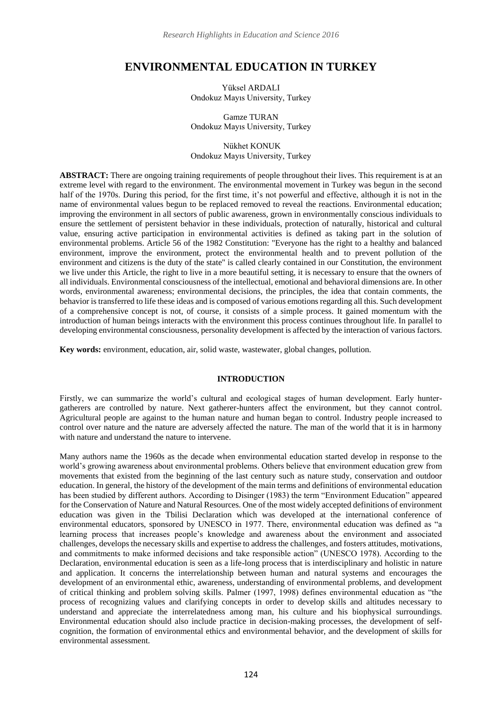# **ENVIRONMENTAL EDUCATION IN TURKEY**

Yüksel ARDALI Ondokuz Mayıs University, Turkey

Gamze TURAN Ondokuz Mayıs University, Turkey

Nükhet KONUK Ondokuz Mayıs University, Turkey

**ABSTRACT:** There are ongoing training requirements of people throughout their lives. This requirement is at an extreme level with regard to the environment. The environmental movement in Turkey was begun in the second half of the 1970s. During this period, for the first time, it's not powerful and effective, although it is not in the name of environmental values begun to be replaced removed to reveal the reactions. Environmental education; improving the environment in all sectors of public awareness, grown in environmentally conscious individuals to ensure the settlement of persistent behavior in these individuals, protection of naturally, historical and cultural value, ensuring active participation in environmental activities is defined as taking part in the solution of environmental problems. Article 56 of the 1982 Constitution: "Everyone has the right to a healthy and balanced environment, improve the environment, protect the environmental health and to prevent pollution of the environment and citizens is the duty of the state" is called clearly contained in our Constitution, the environment we live under this Article, the right to live in a more beautiful setting, it is necessary to ensure that the owners of all individuals. Environmental consciousness of the intellectual, emotional and behavioral dimensions are. In other words, environmental awareness; environmental decisions, the principles, the idea that contain comments, the behavior is transferred to life these ideas and is composed of various emotions regarding all this. Such development of a comprehensive concept is not, of course, it consists of a simple process. It gained momentum with the introduction of human beings interacts with the environment this process continues throughout life. In parallel to developing environmental consciousness, personality development is affected by the interaction of various factors.

**Key words:** environment, education, air, solid waste, wastewater, global changes, pollution.

#### **INTRODUCTION**

Firstly, we can summarize the world's cultural and ecological stages of human development. Early huntergatherers are controlled by nature. Next gatherer-hunters affect the environment, but they cannot control. Agricultural people are against to the human nature and human began to control. Industry people increased to control over nature and the nature are adversely affected the nature. The man of the world that it is in harmony with nature and understand the nature to intervene.

Many authors name the 1960s as the decade when environmental education started develop in response to the world's growing awareness about environmental problems. Others believe that environment education grew from movements that existed from the beginning of the last century such as nature study, conservation and outdoor education. In general, the history of the development of the main terms and definitions of environmental education has been studied by different authors. According to Disinger (1983) the term "Environment Education" appeared for the Conservation of Nature and Natural Resources. One of the most widely accepted definitions of environment education was given in the Tbilisi Declaration which was developed at the international conference of environmental educators, sponsored by UNESCO in 1977. There, environmental education was defined as "a learning process that increases people's knowledge and awareness about the environment and associated challenges, develops the necessary skills and expertise to address the challenges, and fosters attitudes, motivations, and commitments to make informed decisions and take responsible action" (UNESCO 1978). According to the Declaration, environmental education is seen as a life-long process that is interdisciplinary and holistic in nature and application. It concerns the interrelationship between human and natural systems and encourages the development of an environmental ethic, awareness, understanding of environmental problems, and development of critical thinking and problem solving skills. Palmer (1997, 1998) defines environmental education as "the process of recognizing values and clarifying concepts in order to develop skills and altitudes necessary to understand and appreciate the interrelatedness among man, his culture and his biophysical surroundings. Environmental education should also include practice in decision-making processes, the development of selfcognition, the formation of environmental ethics and environmental behavior, and the development of skills for environmental assessment.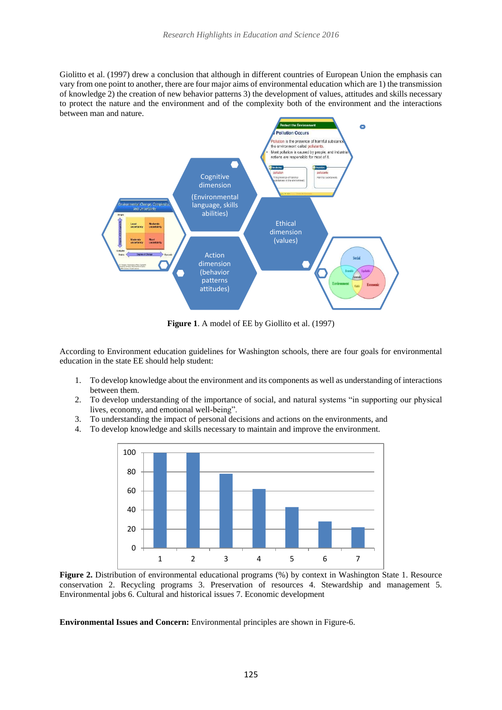Giolitto et al. (1997) drew a conclusion that although in different countries of European Union the emphasis can vary from one point to another, there are four major aims of environmental education which are 1) the transmission of knowledge 2) the creation of new behavior patterns 3) the development of values, attitudes and skills necessary to protect the nature and the environment and of the complexity both of the environment and the interactions between man and nature.



**Figure 1**. A model of EE by Giollito et al. (1997)

According to Environment education guidelines for Washington schools, there are four goals for environmental education in the state EE should help student:

- 1. To develop knowledge about the environment and its components as well as understanding of interactions between them.
- 2. To develop understanding of the importance of social, and natural systems "in supporting our physical lives, economy, and emotional well-being".
- 3. To understanding the impact of personal decisions and actions on the environments, and
- 4. To develop knowledge and skills necessary to maintain and improve the environment.



**Figure 2.** Distribution of environmental educational programs (%) by context in Washington State 1. Resource conservation 2. Recycling programs 3. Preservation of resources 4. Stewardship and management 5. Environmental jobs 6. Cultural and historical issues 7. Economic development

**Environmental Issues and Concern:** Environmental principles are shown in Figure-6.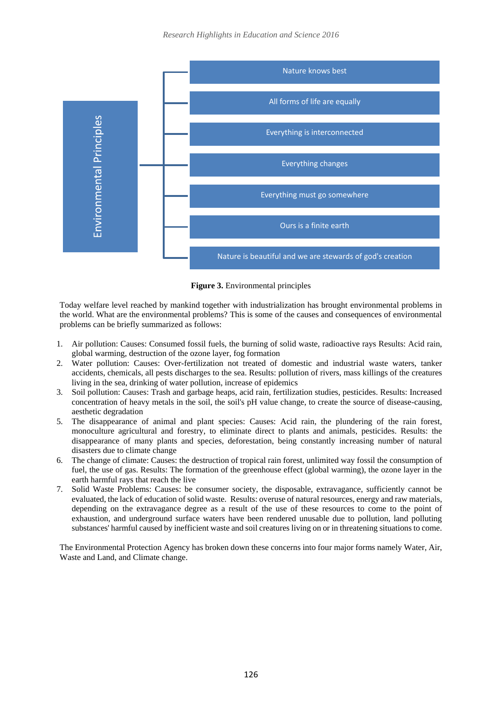

**Figure 3.** Environmental principles

Today welfare level reached by mankind together with industrialization has brought environmental problems in the world. What are the environmental problems? This is some of the causes and consequences of environmental problems can be briefly summarized as follows:

- 1. Air pollution: Causes: Consumed fossil fuels, the burning of solid waste, radioactive rays Results: Acid rain, global warming, destruction of the ozone layer, fog formation
- 2. Water pollution: Causes: Over-fertilization not treated of domestic and industrial waste waters, tanker accidents, chemicals, all pests discharges to the sea. Results: pollution of rivers, mass killings of the creatures living in the sea, drinking of water pollution, increase of epidemics
- 3. Soil pollution: Causes: Trash and garbage heaps, acid rain, fertilization studies, pesticides. Results: Increased concentration of heavy metals in the soil, the soil's pH value change, to create the source of disease-causing, aesthetic degradation
- 5. The disappearance of animal and plant species: Causes: Acid rain, the plundering of the rain forest, monoculture agricultural and forestry, to eliminate direct to plants and animals, pesticides. Results: the disappearance of many plants and species, deforestation, being constantly increasing number of natural disasters due to climate change
- 6. The change of climate: Causes: the destruction of tropical rain forest, unlimited way fossil the consumption of fuel, the use of gas. Results: The formation of the greenhouse effect (global warming), the ozone layer in the earth harmful rays that reach the live
- 7. Solid Waste Problems: Causes: be consumer society, the disposable, extravagance, sufficiently cannot be evaluated, the lack of education of solid waste. Results: overuse of natural resources, energy and raw materials, depending on the extravagance degree as a result of the use of these resources to come to the point of exhaustion, and underground surface waters have been rendered unusable due to pollution, land polluting substances' harmful caused by inefficient waste and soil creatures living on or in threatening situations to come.

The Environmental Protection Agency has broken down these concerns into four major forms namely Water, Air, Waste and Land, and Climate change.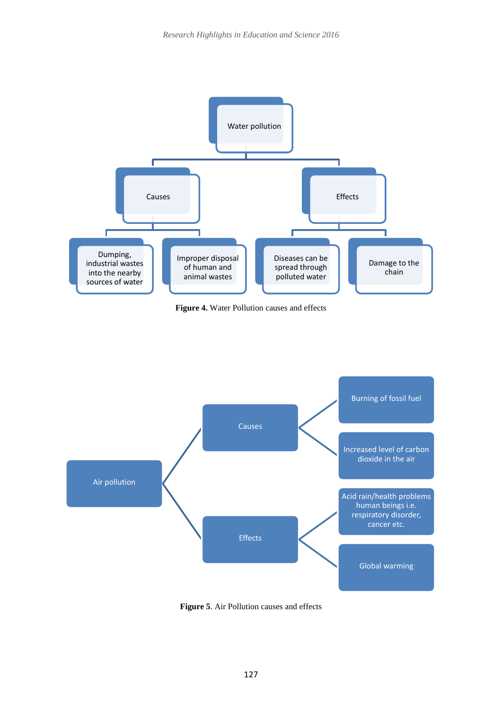

**Figure 4.** Water Pollution causes and effects



**Figure 5**. Air Pollution causes and effects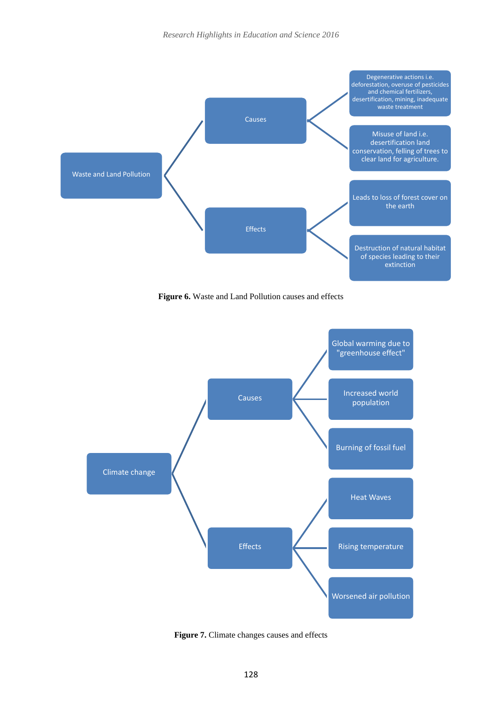

**Figure 6.** Waste and Land Pollution causes and effects



**Figure 7.** Climate changes causes and effects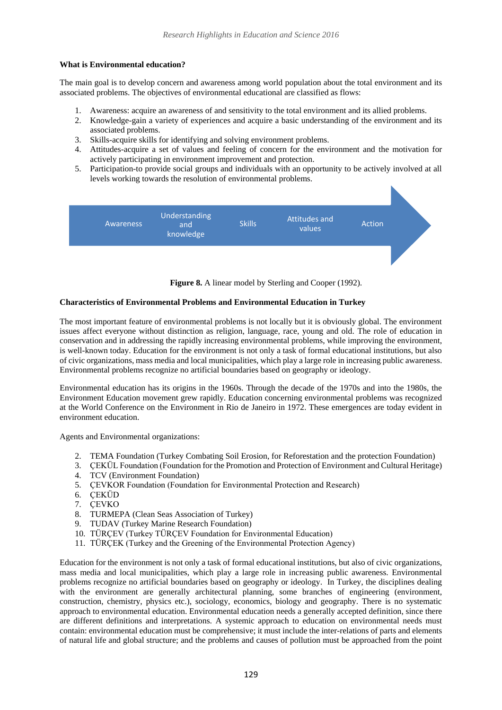### **What is Environmental education?**

The main goal is to develop concern and awareness among world population about the total environment and its associated problems. The objectives of environmental educational are classified as flows:

- 1. Awareness: acquire an awareness of and sensitivity to the total environment and its allied problems.
- 2. Knowledge-gain a variety of experiences and acquire a basic understanding of the environment and its associated problems.
- 3. Skills-acquire skills for identifying and solving environment problems.
- 4. Attitudes-acquire a set of values and feeling of concern for the environment and the motivation for actively participating in environment improvement and protection.
- 5. Participation-to provide social groups and individuals with an opportunity to be actively involved at all levels working towards the resolution of environmental problems.





## **Characteristics of Environmental Problems and Environmental Education in Turkey**

The most important feature of environmental problems is not locally but it is obviously global. The environment issues affect everyone without distinction as religion, language, race, young and old. The role of education in conservation and in addressing the rapidly increasing environmental problems, while improving the environment, is well-known today. Education for the environment is not only a task of formal educational institutions, but also of civic organizations, mass media and local municipalities, which play a large role in increasing public awareness. Environmental problems recognize no artificial boundaries based on geography or ideology.

Environmental education has its origins in the 1960s. Through the decade of the 1970s and into the 1980s, the Environment Education movement grew rapidly. Education concerning environmental problems was recognized at the World Conference on the Environment in Rio de Janeiro in 1972. These emergences are today evident in environment education.

Agents and Environmental organizations:

- 2. TEMA Foundation (Turkey Combating Soil Erosion, for Reforestation and the protection Foundation)
- 3. ÇEKÜL Foundation (Foundation for the Promotion and Protection of Environment and Cultural Heritage)
- 4. TCV (Environment Foundation)
- 5. ÇEVKOR Foundation (Foundation for Environmental Protection and Research)
- 6. ÇEKÜD
- 7. ÇEVKO
- 8. TURMEPA (Clean Seas Association of Turkey)
- 9. TUDAV (Turkey Marine Research Foundation)
- 10. TÜRÇEV (Turkey TÜRÇEV Foundation for Environmental Education)
- 11. TÜRÇEK (Turkey and the Greening of the Environmental Protection Agency)

Education for the environment is not only a task of formal educational institutions, but also of civic organizations, mass media and local municipalities, which play a large role in increasing public awareness. Environmental problems recognize no artificial boundaries based on geography or ideology. In Turkey, the disciplines dealing with the environment are generally architectural planning, some branches of engineering (environment, construction, chemistry, physics etc.), sociology, economics, biology and geography. There is no systematic approach to environmental education. Environmental education needs a generally accepted definition, since there are different definitions and interpretations. A systemic approach to education on environmental needs must contain: environmental education must be comprehensive; it must include the inter-relations of parts and elements of natural life and global structure; and the problems and causes of pollution must be approached from the point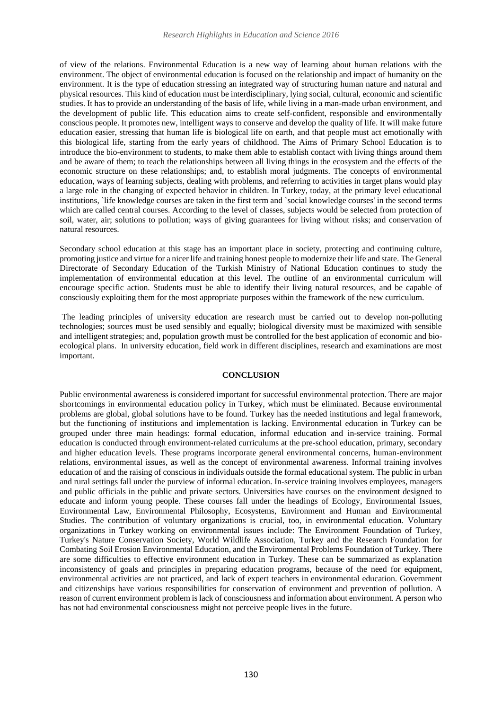of view of the relations. Environmental Education is a new way of learning about human relations with the environment. The object of environmental education is focused on the relationship and impact of humanity on the environment. It is the type of education stressing an integrated way of structuring human nature and natural and physical resources. This kind of education must be interdisciplinary, lying social, cultural, economic and scientific studies. It has to provide an understanding of the basis of life, while living in a man-made urban environment, and the development of public life. This education aims to create self-confident, responsible and environmentally conscious people. It promotes new, intelligent ways to conserve and develop the quality of life. It will make future education easier, stressing that human life is biological life on earth, and that people must act emotionally with this biological life, starting from the early years of childhood. The Aims of Primary School Education is to introduce the bio-environment to students, to make them able to establish contact with living things around them and be aware of them; to teach the relationships between all living things in the ecosystem and the effects of the economic structure on these relationships; and, to establish moral judgments. The concepts of environmental education, ways of learning subjects, dealing with problems, and referring to activities in target plans would play a large role in the changing of expected behavior in children. In Turkey, today, at the primary level educational institutions, `life knowledge courses are taken in the first term and `social knowledge courses' in the second terms which are called central courses. According to the level of classes, subjects would be selected from protection of soil, water, air; solutions to pollution; ways of giving guarantees for living without risks; and conservation of natural resources.

Secondary school education at this stage has an important place in society, protecting and continuing culture, promoting justice and virtue for a nicer life and training honest people to modernize their life and state. The General Directorate of Secondary Education of the Turkish Ministry of National Education continues to study the implementation of environmental education at this level. The outline of an environmental curriculum will encourage specific action. Students must be able to identify their living natural resources, and be capable of consciously exploiting them for the most appropriate purposes within the framework of the new curriculum.

The leading principles of university education are research must be carried out to develop non-polluting technologies; sources must be used sensibly and equally; biological diversity must be maximized with sensible and intelligent strategies; and, population growth must be controlled for the best application of economic and bioecological plans. In university education, field work in different disciplines, research and examinations are most important.

### **CONCLUSION**

Public environmental awareness is considered important for successful environmental protection. There are major shortcomings in environmental education policy in Turkey, which must be eliminated. Because environmental problems are global, global solutions have to be found. Turkey has the needed institutions and legal framework, but the functioning of institutions and implementation is lacking. Environmental education in Turkey can be grouped under three main headings: formal education, informal education and in-service training. Formal education is conducted through environment-related curriculums at the pre-school education, primary, secondary and higher education levels. These programs incorporate general environmental concerns, human-environment relations, environmental issues, as well as the concept of environmental awareness. Informal training involves education of and the raising of conscious in individuals outside the formal educational system. The public in urban and rural settings fall under the purview of informal education. In-service training involves employees, managers and public officials in the public and private sectors. Universities have courses on the environment designed to educate and inform young people. These courses fall under the headings of Ecology, Environmental Issues, Environmental Law, Environmental Philosophy, Ecosystems, Environment and Human and Environmental Studies. The contribution of voluntary organizations is crucial, too, in environmental education. Voluntary organizations in Turkey working on environmental issues include: The Environment Foundation of Turkey, Turkey's Nature Conservation Society, World Wildlife Association, Turkey and the Research Foundation for Combating Soil Erosion Environmental Education, and the Environmental Problems Foundation of Turkey. There are some difficulties to effective environment education in Turkey. These can be summarized as explanation inconsistency of goals and principles in preparing education programs, because of the need for equipment, environmental activities are not practiced, and lack of expert teachers in environmental education. Government and citizenships have various responsibilities for conservation of environment and prevention of pollution. A reason of current environment problem is lack of consciousness and information about environment. A person who has not had environmental consciousness might not perceive people lives in the future.